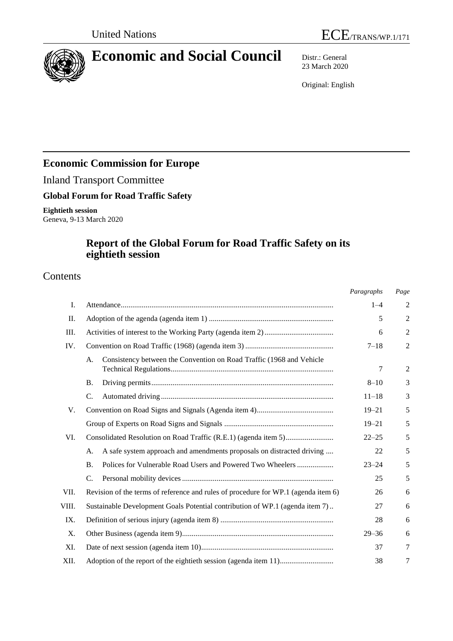

# **Economic and Social Council** Distr.: General

23 March 2020

Original: English

# **Economic Commission for Europe**

Inland Transport Committee

### **Global Forum for Road Traffic Safety**

**Eightieth session** Geneva, 9-13 March 2020

## **Report of the Global Forum for Road Traffic Safety on its eightieth session**

### Contents

|       |                                                                                    | Paragraphs | Page           |
|-------|------------------------------------------------------------------------------------|------------|----------------|
| Ι.    |                                                                                    | $1 - 4$    | 2              |
| Π.    |                                                                                    | 5          | $\overline{2}$ |
| III.  |                                                                                    | 6          | $\overline{2}$ |
| IV.   |                                                                                    | $7 - 18$   | $\mathfrak{2}$ |
|       | Consistency between the Convention on Road Traffic (1968 and Vehicle<br>А.         | 7          | $\overline{2}$ |
|       | <b>B.</b>                                                                          | $8 - 10$   | 3              |
|       | C.                                                                                 | $11 - 18$  | 3              |
| V.    |                                                                                    | $19 - 21$  | 5              |
|       |                                                                                    | $19 - 21$  | 5              |
| VI.   |                                                                                    | $22 - 25$  | 5              |
|       | A safe system approach and amendments proposals on distracted driving<br>A.        | 22         | 5              |
|       | Polices for Vulnerable Road Users and Powered Two Wheelers<br><b>B.</b>            | $23 - 24$  | 5              |
|       | C.                                                                                 | 25         | 5              |
| VII.  | Revision of the terms of reference and rules of procedure for WP.1 (agenda item 6) | 26         | 6              |
| VIII. | Sustainable Development Goals Potential contribution of WP.1 (agenda item 7)       | 27         | 6              |
| IX.   |                                                                                    | 28         | 6              |
| X.    |                                                                                    | $29 - 36$  | 6              |
| XI.   |                                                                                    | 37         | 7              |
| XII.  |                                                                                    | 38         | 7              |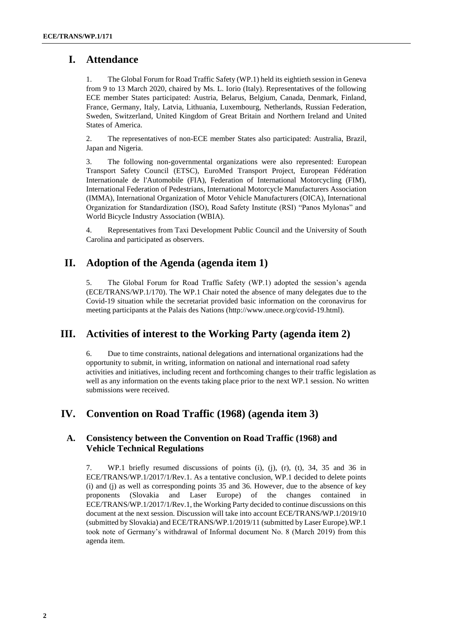### **I. Attendance**

1. The Global Forum for Road Traffic Safety (WP.1) held its eightieth session in Geneva from 9 to 13 March 2020, chaired by Ms. L. Iorio (Italy). Representatives of the following ECE member States participated: Austria, Belarus, Belgium, Canada, Denmark, Finland, France, Germany, Italy, Latvia, Lithuania, Luxembourg, Netherlands, Russian Federation, Sweden, Switzerland, United Kingdom of Great Britain and Northern Ireland and United States of America.

2. The representatives of non-ECE member States also participated: Australia, Brazil, Japan and Nigeria.

3. The following non-governmental organizations were also represented: European Transport Safety Council (ETSC), EuroMed Transport Project, European Fédération Internationale de l'Automobile (FIA), Federation of International Motorcycling (FIM), International Federation of Pedestrians, International Motorcycle Manufacturers Association (IMMA), International Organization of Motor Vehicle Manufacturers (OICA), International Organization for Standardization (ISO), Road Safety Institute (RSI) "Panos Mylonas" and World Bicycle Industry Association (WBIA).

4. Representatives from Taxi Development Public Council and the University of South Carolina and participated as observers.

### **II. Adoption of the Agenda (agenda item 1)**

5. The Global Forum for Road Traffic Safety (WP.1) adopted the session's agenda (ECE/TRANS/WP.1/170). The WP.1 Chair noted the absence of many delegates due to the Covid-19 situation while the secretariat provided basic information on the coronavirus for meeting participants at the Palais des Nations [\(http://www.unece.org/covid-19.html\)](http://www.unece.org/covid-19.html).

### **III. Activities of interest to the Working Party (agenda item 2)**

6. Due to time constraints, national delegations and international organizations had the opportunity to submit, in writing, information on national and international road safety activities and initiatives, including recent and forthcoming changes to their traffic legislation as well as any information on the events taking place prior to the next WP.1 session. No written submissions were received.

### **IV. Convention on Road Traffic (1968) (agenda item 3)**

#### **A. Consistency between the Convention on Road Traffic (1968) and Vehicle Technical Regulations**

7. WP.1 briefly resumed discussions of points (i), (j), (r), (t), 34, 35 and 36 in ECE/TRANS/WP.1/2017/1/Rev.1. As a tentative conclusion, WP.1 decided to delete points (i) and (j) as well as corresponding points 35 and 36. However, due to the absence of key proponents (Slovakia and Laser Europe) of the changes contained in ECE/TRANS/WP.1/2017/1/Rev.1, the Working Party decided to continue discussions on this document at the next session. Discussion will take into account ECE/TRANS/WP.1/2019/10 (submitted by Slovakia) and ECE/TRANS/WP.1/2019/11 (submitted by Laser Europe).WP.1 took note of Germany's withdrawal of Informal document No. 8 (March 2019) from this agenda item.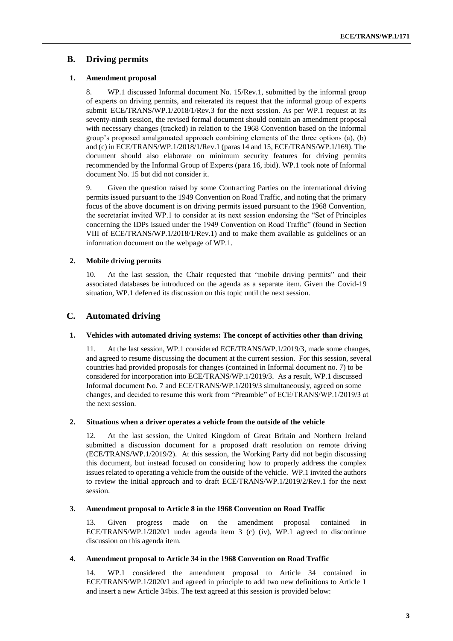### **B. Driving permits**

#### **1. Amendment proposal**

8. WP.1 discussed Informal document No. 15/Rev.1, submitted by the informal group of experts on driving permits, and reiterated its request that the informal group of experts submit ECE/TRANS/WP.1/2018/1/Rev.3 for the next session. As per WP.1 request at its seventy-ninth session, the revised formal document should contain an amendment proposal with necessary changes (tracked) in relation to the 1968 Convention based on the informal group's proposed amalgamated approach combining elements of the three options (a), (b) and (c) in ECE/TRANS/WP.1/2018/1/Rev.1 (paras 14 and 15, ECE/TRANS/WP.1/169). The document should also elaborate on minimum security features for driving permits recommended by the Informal Group of Experts (para 16, ibid). WP.1 took note of Informal document No. 15 but did not consider it.

9. Given the question raised by some Contracting Parties on the international driving permits issued pursuant to the 1949 Convention on Road Traffic, and noting that the primary focus of the above document is on driving permits issued pursuant to the 1968 Convention, the secretariat invited WP.1 to consider at its next session endorsing the "Set of Principles concerning the IDPs issued under the 1949 Convention on Road Traffic" (found in Section VIII of ECE/TRANS/WP.1/2018/1/Rev.1) and to make them available as guidelines or an information document on the webpage of WP.1.

#### **2. Mobile driving permits**

10. At the last session, the Chair requested that "mobile driving permits" and their associated databases be introduced on the agenda as a separate item. Given the Covid-19 situation, WP.1 deferred its discussion on this topic until the next session.

#### **C. Automated driving**

#### **1. Vehicles with automated driving systems: The concept of activities other than driving**

11. At the last session, WP.1 considered ECE/TRANS/WP.1/2019/3, made some changes, and agreed to resume discussing the document at the current session. For this session, several countries had provided proposals for changes (contained in Informal document no. 7) to be considered for incorporation into ECE/TRANS/WP.1/2019/3. As a result, WP.1 discussed Informal document No. 7 and ECE/TRANS/WP.1/2019/3 simultaneously, agreed on some changes, and decided to resume this work from "Preamble" of ECE/TRANS/WP.1/2019/3 at the next session.

#### **2. Situations when a driver operates a vehicle from the outside of the vehicle**

12. At the last session, the United Kingdom of Great Britain and Northern Ireland submitted a discussion document for a proposed draft resolution on remote driving (ECE/TRANS/WP.1/2019/2). At this session, the Working Party did not begin discussing this document, but instead focused on considering how to properly address the complex issues related to operating a vehicle from the outside of the vehicle. WP.1 invited the authors to review the initial approach and to draft ECE/TRANS/WP.1/2019/2/Rev.1 for the next session.

#### **3. Amendment proposal to Article 8 in the 1968 Convention on Road Traffic**

13. Given progress made on the amendment proposal contained in ECE/TRANS/WP.1/2020/1 under agenda item 3 (c) (iv), WP.1 agreed to discontinue discussion on this agenda item.

#### **4. Amendment proposal to Article 34 in the 1968 Convention on Road Traffic**

14. WP.1 considered the amendment proposal to Article 34 contained in ECE/TRANS/WP.1/2020/1 and agreed in principle to add two new definitions to Article 1 and insert a new Article 34bis. The text agreed at this session is provided below: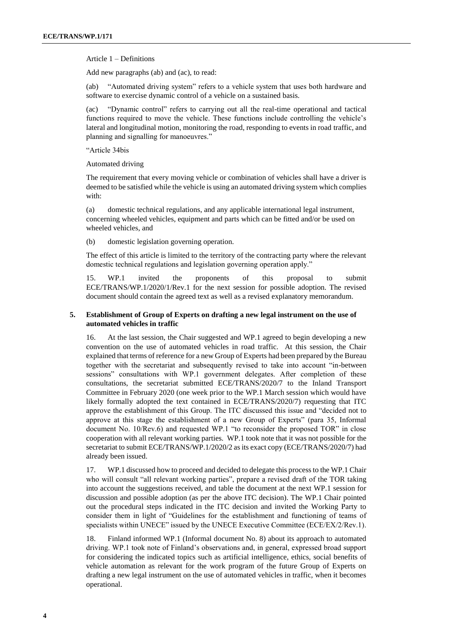Article 1 – Definitions

Add new paragraphs (ab) and (ac), to read:

(ab) "Automated driving system" refers to a vehicle system that uses both hardware and software to exercise dynamic control of a vehicle on a sustained basis.

(ac) "Dynamic control" refers to carrying out all the real-time operational and tactical functions required to move the vehicle. These functions include controlling the vehicle's lateral and longitudinal motion, monitoring the road, responding to events in road traffic, and planning and signalling for manoeuvres."

"Article 34bis

Automated driving

The requirement that every moving vehicle or combination of vehicles shall have a driver is deemed to be satisfied while the vehicle is using an automated driving system which complies with:

(a) domestic technical regulations, and any applicable international legal instrument, concerning wheeled vehicles, equipment and parts which can be fitted and/or be used on wheeled vehicles, and

(b) domestic legislation governing operation.

The effect of this article is limited to the territory of the contracting party where the relevant domestic technical regulations and legislation governing operation apply."

15. WP.1 invited the proponents of this proposal to submit ECE/TRANS/WP.1/2020/1/Rev.1 for the next session for possible adoption. The revised document should contain the agreed text as well as a revised explanatory memorandum.

#### **5. Establishment of Group of Experts on drafting a new legal instrument on the use of automated vehicles in traffic**

16. At the last session, the Chair suggested and WP.1 agreed to begin developing a new convention on the use of automated vehicles in road traffic. At this session, the Chair explained that terms of reference for a new Group of Experts had been prepared by the Bureau together with the secretariat and subsequently revised to take into account "in-between sessions" consultations with WP.1 government delegates. After completion of these consultations, the secretariat submitted ECE/TRANS/2020/7 to the Inland Transport Committee in February 2020 (one week prior to the WP.1 March session which would have likely formally adopted the text contained in ECE/TRANS/2020/7) requesting that ITC approve the establishment of this Group. The ITC discussed this issue and "decided not to approve at this stage the establishment of a new Group of Experts" (para 35, Informal document No. 10/Rev.6) and requested WP.1 "to reconsider the proposed TOR" in close cooperation with all relevant working parties. WP.1 took note that it was not possible for the secretariat to submit ECE/TRANS/WP.1/2020/2 as its exact copy (ECE/TRANS/2020/7) had already been issued.

17. WP.1 discussed how to proceed and decided to delegate this process to the WP.1 Chair who will consult "all relevant working parties", prepare a revised draft of the TOR taking into account the suggestions received, and table the document at the next WP.1 session for discussion and possible adoption (as per the above ITC decision). The WP.1 Chair pointed out the procedural steps indicated in the ITC decision and invited the Working Party to consider them in light of "Guidelines for the establishment and functioning of teams of specialists within UNECE" issued by the UNECE Executive Committee (ECE/EX/2/Rev.1).

18. Finland informed WP.1 (Informal document No. 8) about its approach to automated driving. WP.1 took note of Finland's observations and, in general, expressed broad support for considering the indicated topics such as artificial intelligence, ethics, social benefits of vehicle automation as relevant for the work program of the future Group of Experts on drafting a new legal instrument on the use of automated vehicles in traffic, when it becomes operational.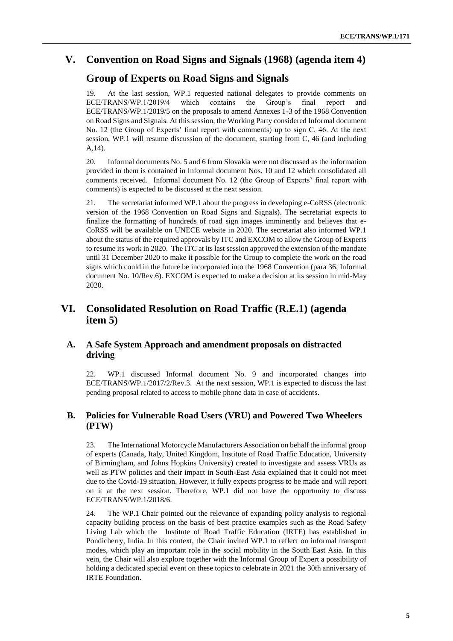### **V. Convention on Road Signs and Signals (1968) (agenda item 4)**

### **Group of Experts on Road Signs and Signals**

19. At the last session, WP.1 requested national delegates to provide comments on ECE/TRANS/WP.1/2019/4 which contains the Group's final report and ECE/TRANS/WP.1/2019/5 on the proposals to amend Annexes 1-3 of the 1968 Convention on Road Signs and Signals. At this session, the Working Party considered Informal document No. 12 (the Group of Experts' final report with comments) up to sign C, 46. At the next session, WP.1 will resume discussion of the document, starting from C, 46 (and including A,14).

20. Informal documents No. 5 and 6 from Slovakia were not discussed as the information provided in them is contained in Informal document Nos. 10 and 12 which consolidated all comments received. Informal document No. 12 (the Group of Experts' final report with comments) is expected to be discussed at the next session.

21. The secretariat informed WP.1 about the progress in developing e-CoRSS (electronic version of the 1968 Convention on Road Signs and Signals). The secretariat expects to finalize the formatting of hundreds of road sign images imminently and believes that e-CoRSS will be available on UNECE website in 2020. The secretariat also informed WP.1 about the status of the required approvals by ITC and EXCOM to allow the Group of Experts to resume its work in 2020. The ITC at its last session approved the extension of the mandate until 31 December 2020 to make it possible for the Group to complete the work on the road signs which could in the future be incorporated into the 1968 Convention (para 36, Informal document No. 10/Rev.6). EXCOM is expected to make a decision at its session in mid-May 2020.

### **VI. Consolidated Resolution on Road Traffic (R.E.1) (agenda item 5)**

#### **A. A Safe System Approach and amendment proposals on distracted driving**

22. WP.1 discussed Informal document No. 9 and incorporated changes into ECE/TRANS/WP.1/2017/2/Rev.3. At the next session, WP.1 is expected to discuss the last pending proposal related to access to mobile phone data in case of accidents.

#### **B. Policies for Vulnerable Road Users (VRU) and Powered Two Wheelers (PTW)**

23. The International Motorcycle Manufacturers Association on behalf the informal group of experts (Canada, Italy, United Kingdom, Institute of Road Traffic Education, University of Birmingham, and Johns Hopkins University) created to investigate and assess VRUs as well as PTW policies and their impact in South-East Asia explained that it could not meet due to the Covid-19 situation. However, it fully expects progress to be made and will report on it at the next session. Therefore, WP.1 did not have the opportunity to discuss ECE/TRANS/WP.1/2018/6.

24. The WP.1 Chair pointed out the relevance of expanding policy analysis to regional capacity building process on the basis of best practice examples such as the Road Safety Living Lab which the Institute of Road Traffic Education (IRTE) has established in Pondicherry, India. In this context, the Chair invited WP.1 to reflect on informal transport modes, which play an important role in the social mobility in the South East Asia. In this vein, the Chair will also explore together with the Informal Group of Expert a possibility of holding a dedicated special event on these topics to celebrate in 2021 the 30th anniversary of IRTE Foundation.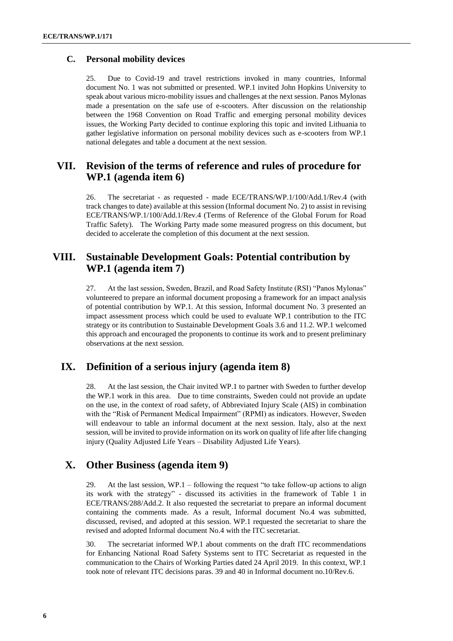#### **C. Personal mobility devices**

25. Due to Covid-19 and travel restrictions invoked in many countries, Informal document No. 1 was not submitted or presented. WP.1 invited John Hopkins University to speak about various micro-mobility issues and challenges at the next session. Panos Mylonas made a presentation on the safe use of e-scooters. After discussion on the relationship between the 1968 Convention on Road Traffic and emerging personal mobility devices issues, the Working Party decided to continue exploring this topic and invited Lithuania to gather legislative information on personal mobility devices such as e-scooters from WP.1 national delegates and table a document at the next session.

### **VII. Revision of the terms of reference and rules of procedure for WP.1 (agenda item 6)**

26. The secretariat - as requested - made ECE/TRANS/WP.1/100/Add.1/Rev.4 (with track changes to date) available at this session (Informal document No. 2) to assist in revising ECE/TRANS/WP.1/100/Add.1/Rev.4 (Terms of Reference of the Global Forum for Road Traffic Safety). The Working Party made some measured progress on this document, but decided to accelerate the completion of this document at the next session.

### **VIII. Sustainable Development Goals: Potential contribution by WP.1 (agenda item 7)**

27. At the last session, Sweden, Brazil, and Road Safety Institute (RSI) "Panos Mylonas" volunteered to prepare an informal document proposing a framework for an impact analysis of potential contribution by WP.1. At this session, Informal document No. 3 presented an impact assessment process which could be used to evaluate WP.1 contribution to the ITC strategy or its contribution to Sustainable Development Goals 3.6 and 11.2. WP.1 welcomed this approach and encouraged the proponents to continue its work and to present preliminary observations at the next session.

### **IX. Definition of a serious injury (agenda item 8)**

28. At the last session, the Chair invited WP.1 to partner with Sweden to further develop the WP.1 work in this area. Due to time constraints, Sweden could not provide an update on the use, in the context of road safety, of Abbreviated Injury Scale (AIS) in combination with the "Risk of Permanent Medical Impairment" (RPMI) as indicators. However, Sweden will endeavour to table an informal document at the next session. Italy, also at the next session, will be invited to provide information on its work on quality of life after life changing injury (Quality Adjusted Life Years – Disability Adjusted Life Years).

### **X. Other Business (agenda item 9)**

29. At the last session,  $WP.1 -$  following the request "to take follow-up actions to align its work with the strategy" - discussed its activities in the framework of Table 1 in ECE/TRANS/288/Add.2. It also requested the secretariat to prepare an informal document containing the comments made. As a result, Informal document No.4 was submitted, discussed, revised, and adopted at this session. WP.1 requested the secretariat to share the revised and adopted Informal document No.4 with the ITC secretariat.

30. The secretariat informed WP.1 about comments on the draft ITC recommendations for Enhancing National Road Safety Systems sent to ITC Secretariat as requested in the communication to the Chairs of Working Parties dated 24 April 2019. In this context, WP.1 took note of relevant ITC decisions paras. 39 and 40 in Informal document no.10/Rev.6.